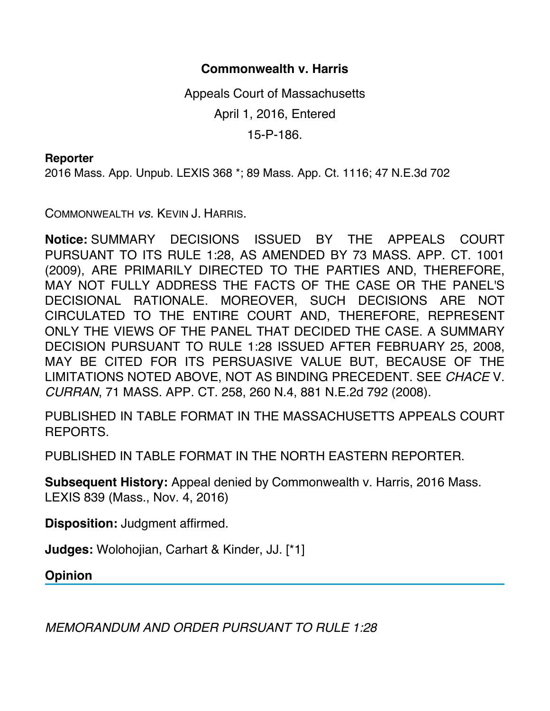## **Commonwealth v. Harris**

Appeals Court of Massachusetts April 1, 2016, Entered 15-P-186.

## **Reporter**

2016 Mass. App. Unpub. LEXIS 368 \*; 89 Mass. App. Ct. 1116; 47 N.E.3d 702

COMMONWEALTH *vs.* KEVIN J. HARRIS.

**Notice:** SUMMARY DECISIONS ISSUED BY THE APPEALS COURT PURSUANT TO ITS RULE 1:28, AS AMENDED BY 73 MASS. APP. CT. 1001 (2009), ARE PRIMARILY DIRECTED TO THE PARTIES AND, THEREFORE, MAY NOT FULLY ADDRESS THE FACTS OF THE CASE OR THE PANEL'S DECISIONAL RATIONALE. MOREOVER, SUCH DECISIONS ARE NOT CIRCULATED TO THE ENTIRE COURT AND, THEREFORE, REPRESENT ONLY THE VIEWS OF THE PANEL THAT DECIDED THE CASE. A SUMMARY DECISION PURSUANT TO RULE 1:28 ISSUED AFTER FEBRUARY 25, 2008, MAY BE CITED FOR ITS PERSUASIVE VALUE BUT, BECAUSE OF THE LIMITATIONS NOTED ABOVE, NOT AS BINDING PRECEDENT. SEE *CHACE* V. *CURRAN*, 71 MASS. APP. CT. 258, 260 N.4, 881 N.E.2d 792 (2008).

PUBLISHED IN TABLE FORMAT IN THE MASSACHUSETTS APPEALS COURT REPORTS.

PUBLISHED IN TABLE FORMAT IN THE NORTH EASTERN REPORTER.

**Subsequent History:** Appeal denied by Commonwealth v. Harris, 2016 Mass. LEXIS 839 (Mass., Nov. 4, 2016)

**Disposition:** Judgment affirmed.

**Judges:** Wolohojian, Carhart & Kinder, JJ. [\*1]

**Opinion**

*MEMORANDUM AND ORDER PURSUANT TO RULE 1:28*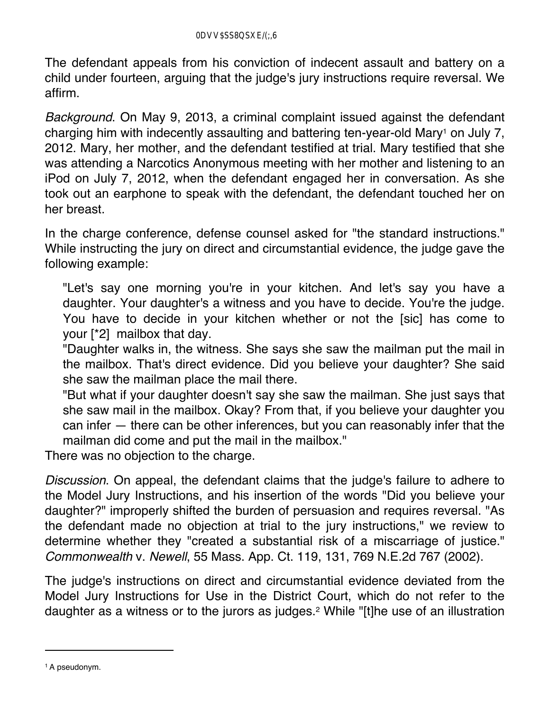The defendant appeals from his conviction of indecent assault and battery on a child under fourteen, arguing that the judge's jury instructions require reversal. We affirm.

*Background*. On May 9, 2013, a criminal complaint issued against the defendant charging him with indecently assaulting and battering ten-year-old Mary<sup>1</sup> on July 7, 2012. Mary, her mother, and the defendant testified at trial. Mary testified that she was attending a Narcotics Anonymous meeting with her mother and listening to an iPod on July 7, 2012, when the defendant engaged her in conversation. As she took out an earphone to speak with the defendant, the defendant touched her on her breast.

In the charge conference, defense counsel asked for "the standard instructions." While instructing the jury on direct and circumstantial evidence, the judge gave the following example:

"Let's say one morning you're in your kitchen. And let's say you have a daughter. Your daughter's a witness and you have to decide. You're the judge. You have to decide in your kitchen whether or not the [sic] has come to your [\*2] mailbox that day.

"Daughter walks in, the witness. She says she saw the mailman put the mail in the mailbox. That's direct evidence. Did you believe your daughter? She said she saw the mailman place the mail there.

"But what if your daughter doesn't say she saw the mailman. She just says that she saw mail in the mailbox. Okay? From that, if you believe your daughter you can infer — there can be other inferences, but you can reasonably infer that the mailman did come and put the mail in the mailbox."

There was no objection to the charge.

*Discussion*. On appeal, the defendant claims that the judge's failure to adhere to the Model Jury Instructions, and his insertion of the words "Did you believe your daughter?" improperly shifted the burden of persuasion and requires reversal. "As the defendant made no objection at trial to the jury instructions," we review to determine whether they "created a substantial risk of a miscarriage of justice." *Commonwealth* v. *Newell*, 55 Mass. App. Ct. 119, 131, 769 N.E.2d 767 (2002).

The judge's instructions on direct and circumstantial evidence deviated from the Model Jury Instructions for Use in the District Court, which do not refer to the daughter as a witness or to the jurors as judges.2 While "[t]he use of an illustration

<sup>1</sup> A pseudonym.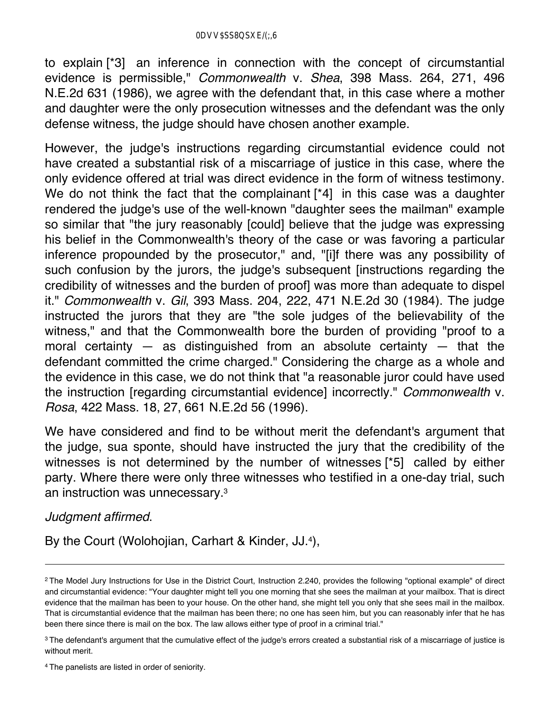to explain [\*3] an inference in connection with the concept of circumstantial evidence is permissible," *Commonwealth* v. *Shea*, 398 Mass. 264, 271, 496 N.E.2d 631 (1986), we agree with the defendant that, in this case where a mother and daughter were the only prosecution witnesses and the defendant was the only defense witness, the judge should have chosen another example.

However, the judge's instructions regarding circumstantial evidence could not have created a substantial risk of a miscarriage of justice in this case, where the only evidence offered at trial was direct evidence in the form of witness testimony. We do not think the fact that the complainant [\*4] in this case was a daughter rendered the judge's use of the well-known "daughter sees the mailman" example so similar that "the jury reasonably [could] believe that the judge was expressing his belief in the Commonwealth's theory of the case or was favoring a particular inference propounded by the prosecutor," and, "[i]f there was any possibility of such confusion by the jurors, the judge's subsequent [instructions regarding the credibility of witnesses and the burden of proof] was more than adequate to dispel it." *Commonwealth* v. *Gil*, 393 Mass. 204, 222, 471 N.E.2d 30 (1984). The judge instructed the jurors that they are "the sole judges of the believability of the witness," and that the Commonwealth bore the burden of providing "proof to a moral certainty  $-$  as distinguished from an absolute certainty  $-$  that the defendant committed the crime charged." Considering the charge as a whole and the evidence in this case, we do not think that "a reasonable juror could have used the instruction [regarding circumstantial evidence] incorrectly." *Commonwealth* v. *Rosa*, 422 Mass. 18, 27, 661 N.E.2d 56 (1996).

We have considered and find to be without merit the defendant's argument that the judge, sua sponte, should have instructed the jury that the credibility of the witnesses is not determined by the number of witnesses [\*5] called by either party. Where there were only three witnesses who testified in a one-day trial, such an instruction was unnecessary.3

## *Judgment affirmed*.

By the Court (Wolohojian, Carhart & Kinder, JJ.4),

<sup>&</sup>lt;sup>2</sup> The Model Jury Instructions for Use in the District Court, Instruction 2.240, provides the following "optional example" of direct and circumstantial evidence: "Your daughter might tell you one morning that she sees the mailman at your mailbox. That is direct evidence that the mailman has been to your house. On the other hand, she might tell you only that she sees mail in the mailbox. That is circumstantial evidence that the mailman has been there; no one has seen him, but you can reasonably infer that he has been there since there is mail on the box. The law allows either type of proof in a criminal trial."

<sup>&</sup>lt;sup>3</sup> The defendant's argument that the cumulative effect of the judge's errors created a substantial risk of a miscarriage of justice is without merit.

<sup>4</sup> The panelists are listed in order of seniority.